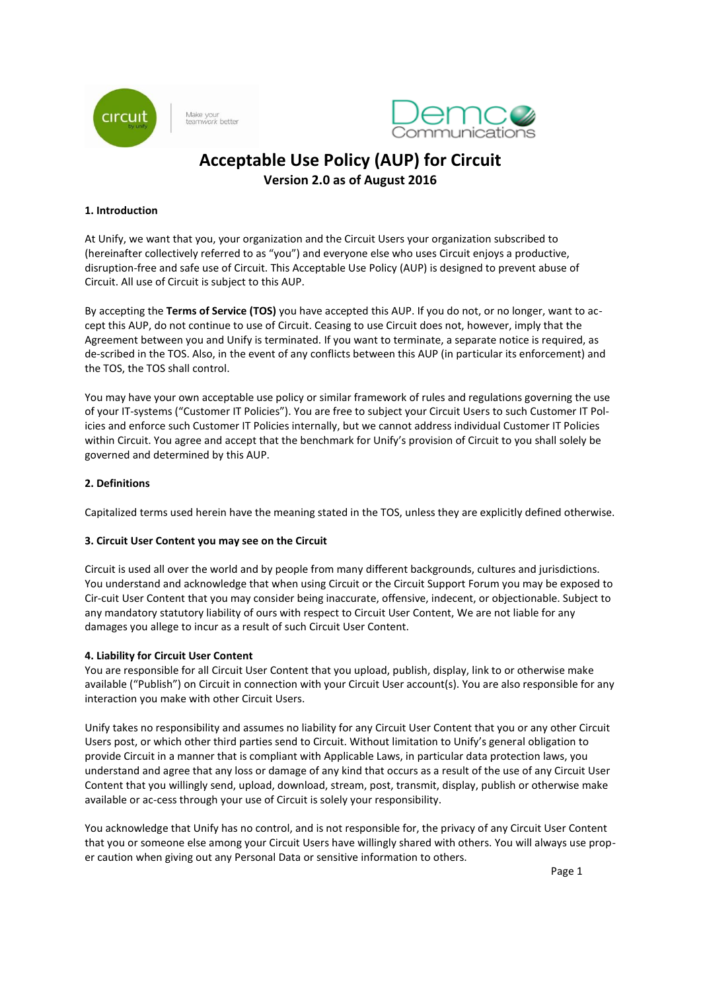

Make your<br>teamwork better



# **Acceptable Use Policy (AUP) for Circuit Version 2.0 as of August 2016**

## **1. Introduction**

At Unify, we want that you, your organization and the Circuit Users your organization subscribed to (hereinafter collectively referred to as "you") and everyone else who uses Circuit enjoys a productive, disruption-free and safe use of Circuit. This Acceptable Use Policy (AUP) is designed to prevent abuse of Circuit. All use of Circuit is subject to this AUP.

By accepting the **Terms of Service (TOS)** you have accepted this AUP. If you do not, or no longer, want to accept this AUP, do not continue to use of Circuit. Ceasing to use Circuit does not, however, imply that the Agreement between you and Unify is terminated. If you want to terminate, a separate notice is required, as de-scribed in the TOS. Also, in the event of any conflicts between this AUP (in particular its enforcement) and the TOS, the TOS shall control.

You may have your own acceptable use policy or similar framework of rules and regulations governing the use of your IT-systems ("Customer IT Policies"). You are free to subject your Circuit Users to such Customer IT Policies and enforce such Customer IT Policies internally, but we cannot address individual Customer IT Policies within Circuit. You agree and accept that the benchmark for Unify's provision of Circuit to you shall solely be governed and determined by this AUP.

## **2. Definitions**

Capitalized terms used herein have the meaning stated in the TOS, unless they are explicitly defined otherwise.

## **3. Circuit User Content you may see on the Circuit**

Circuit is used all over the world and by people from many different backgrounds, cultures and jurisdictions. You understand and acknowledge that when using Circuit or the Circuit Support Forum you may be exposed to Cir-cuit User Content that you may consider being inaccurate, offensive, indecent, or objectionable. Subject to any mandatory statutory liability of ours with respect to Circuit User Content, We are not liable for any damages you allege to incur as a result of such Circuit User Content.

## **4. Liability for Circuit User Content**

You are responsible for all Circuit User Content that you upload, publish, display, link to or otherwise make available ("Publish") on Circuit in connection with your Circuit User account(s). You are also responsible for any interaction you make with other Circuit Users.

Unify takes no responsibility and assumes no liability for any Circuit User Content that you or any other Circuit Users post, or which other third parties send to Circuit. Without limitation to Unify's general obligation to provide Circuit in a manner that is compliant with Applicable Laws, in particular data protection laws, you understand and agree that any loss or damage of any kind that occurs as a result of the use of any Circuit User Content that you willingly send, upload, download, stream, post, transmit, display, publish or otherwise make available or ac-cess through your use of Circuit is solely your responsibility.

You acknowledge that Unify has no control, and is not responsible for, the privacy of any Circuit User Content that you or someone else among your Circuit Users have willingly shared with others. You will always use proper caution when giving out any Personal Data or sensitive information to others.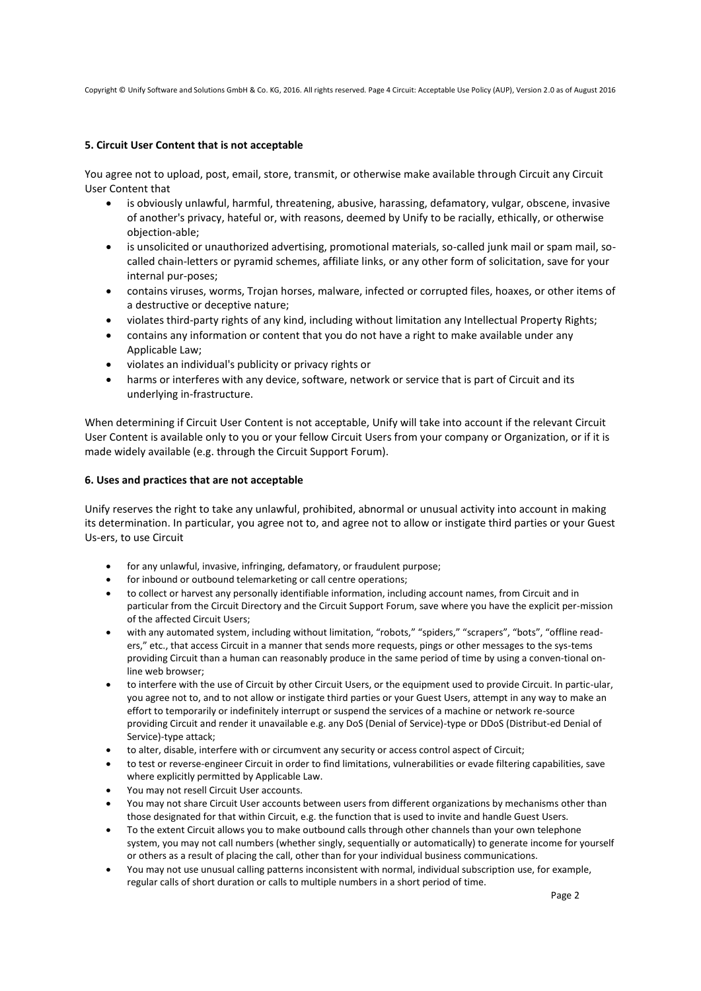Copyright © Unify Software and Solutions GmbH & Co. KG, 2016. All rights reserved. Page 4 Circuit: Acceptable Use Policy (AUP), Version 2.0 as of August 2016

#### **5. Circuit User Content that is not acceptable**

You agree not to upload, post, email, store, transmit, or otherwise make available through Circuit any Circuit User Content that

- is obviously unlawful, harmful, threatening, abusive, harassing, defamatory, vulgar, obscene, invasive of another's privacy, hateful or, with reasons, deemed by Unify to be racially, ethically, or otherwise objection-able;
- is unsolicited or unauthorized advertising, promotional materials, so-called junk mail or spam mail, socalled chain-letters or pyramid schemes, affiliate links, or any other form of solicitation, save for your internal pur-poses;
- contains viruses, worms, Trojan horses, malware, infected or corrupted files, hoaxes, or other items of a destructive or deceptive nature;
- violates third-party rights of any kind, including without limitation any Intellectual Property Rights;
- contains any information or content that you do not have a right to make available under any Applicable Law;
- violates an individual's publicity or privacy rights or
- harms or interferes with any device, software, network or service that is part of Circuit and its underlying in-frastructure.

When determining if Circuit User Content is not acceptable, Unify will take into account if the relevant Circuit User Content is available only to you or your fellow Circuit Users from your company or Organization, or if it is made widely available (e.g. through the Circuit Support Forum).

#### **6. Uses and practices that are not acceptable**

Unify reserves the right to take any unlawful, prohibited, abnormal or unusual activity into account in making its determination. In particular, you agree not to, and agree not to allow or instigate third parties or your Guest Us-ers, to use Circuit

- for any unlawful, invasive, infringing, defamatory, or fraudulent purpose;
- for inbound or outbound telemarketing or call centre operations;
- to collect or harvest any personally identifiable information, including account names, from Circuit and in particular from the Circuit Directory and the Circuit Support Forum, save where you have the explicit per-mission of the affected Circuit Users;
- with any automated system, including without limitation, "robots," "spiders," "scrapers", "bots", "offline readers," etc., that access Circuit in a manner that sends more requests, pings or other messages to the sys-tems providing Circuit than a human can reasonably produce in the same period of time by using a conven-tional online web browser;
- to interfere with the use of Circuit by other Circuit Users, or the equipment used to provide Circuit. In partic-ular, you agree not to, and to not allow or instigate third parties or your Guest Users, attempt in any way to make an effort to temporarily or indefinitely interrupt or suspend the services of a machine or network re-source providing Circuit and render it unavailable e.g. any DoS (Denial of Service)-type or DDoS (Distribut-ed Denial of Service)-type attack;
- to alter, disable, interfere with or circumvent any security or access control aspect of Circuit;
- to test or reverse-engineer Circuit in order to find limitations, vulnerabilities or evade filtering capabilities, save where explicitly permitted by Applicable Law.
- You may not resell Circuit User accounts.
- You may not share Circuit User accounts between users from different organizations by mechanisms other than those designated for that within Circuit, e.g. the function that is used to invite and handle Guest Users.
- To the extent Circuit allows you to make outbound calls through other channels than your own telephone system, you may not call numbers (whether singly, sequentially or automatically) to generate income for yourself or others as a result of placing the call, other than for your individual business communications.
- You may not use unusual calling patterns inconsistent with normal, individual subscription use, for example, regular calls of short duration or calls to multiple numbers in a short period of time.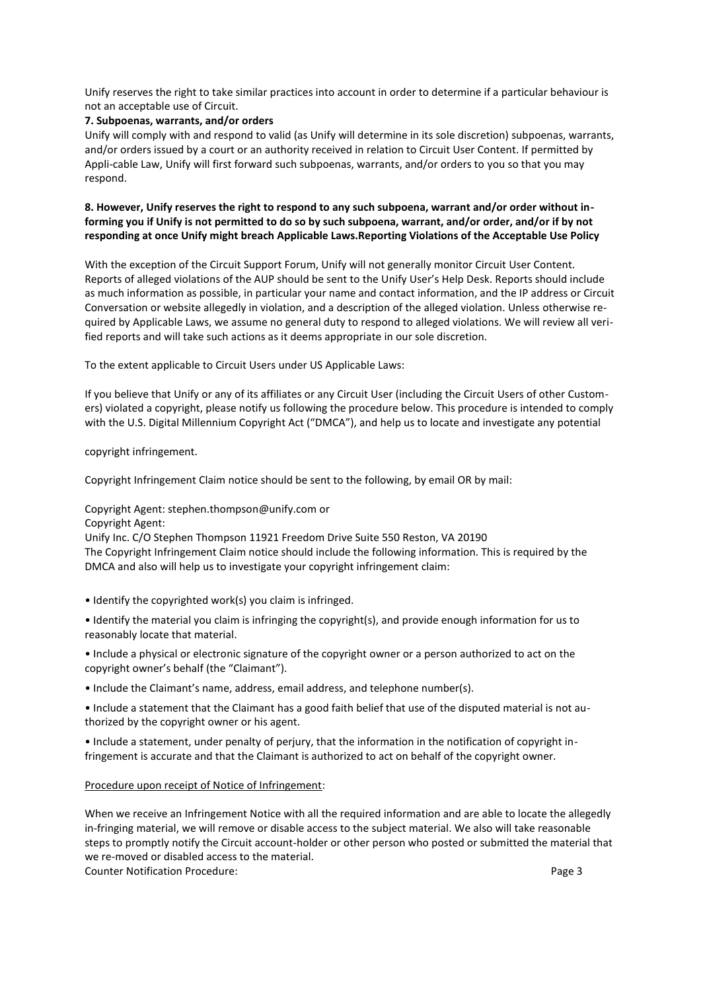Unify reserves the right to take similar practices into account in order to determine if a particular behaviour is not an acceptable use of Circuit.

## **7. Subpoenas, warrants, and/or orders**

Unify will comply with and respond to valid (as Unify will determine in its sole discretion) subpoenas, warrants, and/or orders issued by a court or an authority received in relation to Circuit User Content. If permitted by Appli-cable Law, Unify will first forward such subpoenas, warrants, and/or orders to you so that you may respond.

## **8. However, Unify reserves the right to respond to any such subpoena, warrant and/or order without informing you if Unify is not permitted to do so by such subpoena, warrant, and/or order, and/or if by not responding at once Unify might breach Applicable Laws.Reporting Violations of the Acceptable Use Policy**

With the exception of the Circuit Support Forum, Unify will not generally monitor Circuit User Content. Reports of alleged violations of the AUP should be sent to the Unify User's Help Desk. Reports should include as much information as possible, in particular your name and contact information, and the IP address or Circuit Conversation or website allegedly in violation, and a description of the alleged violation. Unless otherwise required by Applicable Laws, we assume no general duty to respond to alleged violations. We will review all verified reports and will take such actions as it deems appropriate in our sole discretion.

To the extent applicable to Circuit Users under US Applicable Laws:

If you believe that Unify or any of its affiliates or any Circuit User (including the Circuit Users of other Customers) violated a copyright, please notify us following the procedure below. This procedure is intended to comply with the U.S. Digital Millennium Copyright Act ("DMCA"), and help us to locate and investigate any potential

copyright infringement.

Copyright Infringement Claim notice should be sent to the following, by email OR by mail:

Copyright Agent: stephen.thompson@unify.com or

Copyright Agent:

Unify Inc. C/O Stephen Thompson 11921 Freedom Drive Suite 550 Reston, VA 20190 The Copyright Infringement Claim notice should include the following information. This is required by the DMCA and also will help us to investigate your copyright infringement claim:

• Identify the copyrighted work(s) you claim is infringed.

• Identify the material you claim is infringing the copyright(s), and provide enough information for us to reasonably locate that material.

• Include a physical or electronic signature of the copyright owner or a person authorized to act on the copyright owner's behalf (the "Claimant").

• Include the Claimant's name, address, email address, and telephone number(s).

• Include a statement that the Claimant has a good faith belief that use of the disputed material is not authorized by the copyright owner or his agent.

• Include a statement, under penalty of perjury, that the information in the notification of copyright infringement is accurate and that the Claimant is authorized to act on behalf of the copyright owner.

## Procedure upon receipt of Notice of Infringement:

When we receive an Infringement Notice with all the required information and are able to locate the allegedly in-fringing material, we will remove or disable access to the subject material. We also will take reasonable steps to promptly notify the Circuit account-holder or other person who posted or submitted the material that we re-moved or disabled access to the material.

Counter Notification Procedure: Page 3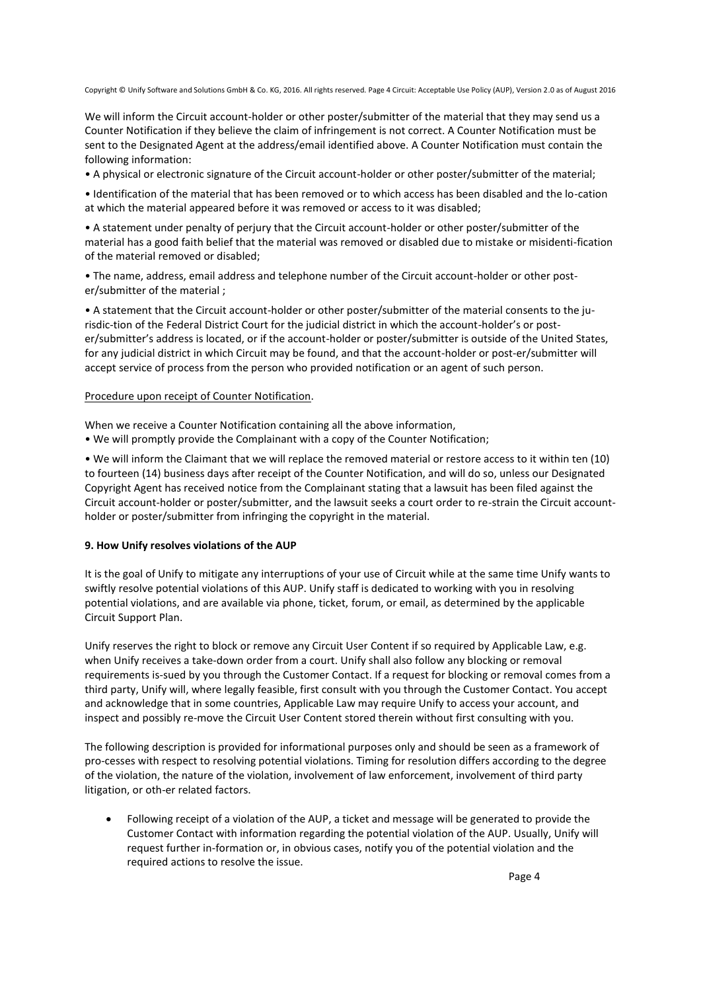Copyright © Unify Software and Solutions GmbH & Co. KG, 2016. All rights reserved. Page 4 Circuit: Acceptable Use Policy (AUP), Version 2.0 as of August 2016

We will inform the Circuit account-holder or other poster/submitter of the material that they may send us a Counter Notification if they believe the claim of infringement is not correct. A Counter Notification must be sent to the Designated Agent at the address/email identified above. A Counter Notification must contain the following information:

• A physical or electronic signature of the Circuit account-holder or other poster/submitter of the material;

• Identification of the material that has been removed or to which access has been disabled and the lo-cation at which the material appeared before it was removed or access to it was disabled;

• A statement under penalty of perjury that the Circuit account-holder or other poster/submitter of the material has a good faith belief that the material was removed or disabled due to mistake or misidenti-fication of the material removed or disabled;

• The name, address, email address and telephone number of the Circuit account-holder or other poster/submitter of the material ;

• A statement that the Circuit account-holder or other poster/submitter of the material consents to the jurisdic-tion of the Federal District Court for the judicial district in which the account-holder's or poster/submitter's address is located, or if the account-holder or poster/submitter is outside of the United States, for any judicial district in which Circuit may be found, and that the account-holder or post-er/submitter will accept service of process from the person who provided notification or an agent of such person.

#### Procedure upon receipt of Counter Notification.

When we receive a Counter Notification containing all the above information, • We will promptly provide the Complainant with a copy of the Counter Notification;

• We will inform the Claimant that we will replace the removed material or restore access to it within ten (10) to fourteen (14) business days after receipt of the Counter Notification, and will do so, unless our Designated Copyright Agent has received notice from the Complainant stating that a lawsuit has been filed against the Circuit account-holder or poster/submitter, and the lawsuit seeks a court order to re-strain the Circuit accountholder or poster/submitter from infringing the copyright in the material.

#### **9. How Unify resolves violations of the AUP**

It is the goal of Unify to mitigate any interruptions of your use of Circuit while at the same time Unify wants to swiftly resolve potential violations of this AUP. Unify staff is dedicated to working with you in resolving potential violations, and are available via phone, ticket, forum, or email, as determined by the applicable Circuit Support Plan.

Unify reserves the right to block or remove any Circuit User Content if so required by Applicable Law, e.g. when Unify receives a take-down order from a court. Unify shall also follow any blocking or removal requirements is-sued by you through the Customer Contact. If a request for blocking or removal comes from a third party, Unify will, where legally feasible, first consult with you through the Customer Contact. You accept and acknowledge that in some countries, Applicable Law may require Unify to access your account, and inspect and possibly re-move the Circuit User Content stored therein without first consulting with you.

The following description is provided for informational purposes only and should be seen as a framework of pro-cesses with respect to resolving potential violations. Timing for resolution differs according to the degree of the violation, the nature of the violation, involvement of law enforcement, involvement of third party litigation, or oth-er related factors.

• Following receipt of a violation of the AUP, a ticket and message will be generated to provide the Customer Contact with information regarding the potential violation of the AUP. Usually, Unify will request further in-formation or, in obvious cases, notify you of the potential violation and the required actions to resolve the issue.